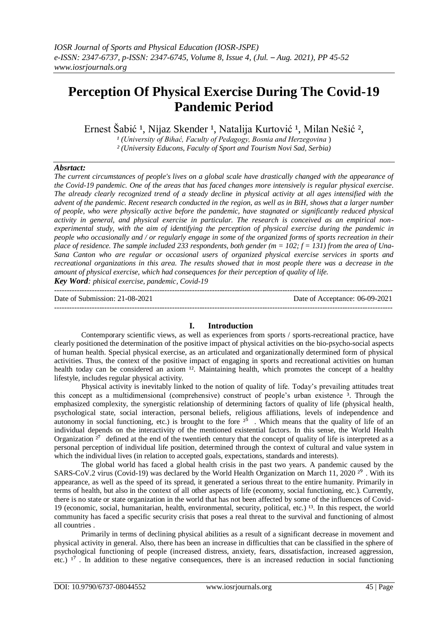# **Perception Of Physical Exercise During The Covid-19 Pandemic Period**

Ernest Šabić <sup>1</sup>, Nijaz Skender <sup>1</sup>, Natalija Kurtović <sup>1</sup>, Milan Nešić <sup>2</sup>,

*¹ (University of Bihać, Faculty of Pedagogy, Bosnia and Herzegovina* )

*² (University Educons, Faculty of Sport and Tourism Novi Sad, Serbia)*

## *Absrtact:*

*The current circumstances of people's lives on a global scale have drastically changed with the appearance of the Covid-19 pandemic. One of the areas that has faced changes more intensively is regular physical exercise. The already clearly recognized trend of a steady decline in physical activity at all ages intensified with the advent of the pandemic. Recent research conducted in the region, as well as in BiH, shows that a larger number of people, who were physically active before the pandemic, have stagnated or significantly reduced physical activity in general, and physical exercise in particular. The research is conceived as an empirical nonexperimental study, with the aim of identifying the perception of physical exercise during the pandemic in people who occasionally and / or regularly engage in some of the organized forms of sports recreation in their place of residence. The sample included 233 respondents, both gender (m = 102; f = 131) from the area of Una-Sana Canton who are regular or occasional users of organized physical exercise services in sports and recreational organizations in this area. The results showed that in most people there was a decrease in the amount of physical exercise, which had consequences for their perception of quality of life.*

*Key Word: phisical exercise, pandemic, Covid-19*

--------------------------------------------------------------------------------------------------------------------------------------- Date of Submission: 21-08-2021 Date of Acceptance: 06-09-2021 ---------------------------------------------------------------------------------------------------------------------------------------

## **I. Introduction**

Contemporary scientific views, as well as experiences from sports / sports-recreational practice, have clearly positioned the determination of the positive impact of physical activities on the bio-psycho-social aspects of human health. Special physical exercise, as an articulated and organizationally determined form of physical activities. Thus, the context of the positive impact of engaging in sports and recreational activities on human health today can be considered an axiom <sup>12</sup>. Maintaining health, which promotes the concept of a healthy lifestyle, includes regular physical activity.

Physical activity is inevitably linked to the notion of quality of life. Today's prevailing attitudes treat this concept as a multidimensional (comprehensive) construct of people's urban existence ³. Through the emphasized complexity, the synergistic relationship of determining factors of quality of life (physical health, psychological state, social interaction, personal beliefs, religious affiliations, levels of independence and autonomy in social functioning, etc.) is brought to the fore  $2^{\bar{5}}$ . Which means that the quality of life of an individual depends on the interactivity of the mentioned existential factors. In this sense, the World Health Organization  $2^7$  defined at the end of the twentieth century that the concept of quality of life is interpreted as a personal perception of individual life position, determined through the context of cultural and value system in which the individual lives (in relation to accepted goals, expectations, standards and interests).

The global world has faced a global health crisis in the past two years. A pandemic caused by the SARS-CoV.2 virus (Covid-19) was declared by the World Health Organization on March 11, 2020<sup>29</sup>. With its appearance, as well as the speed of its spread, it generated a serious threat to the entire humanity. Primarily in terms of health, but also in the context of all other aspects of life (economy, social functioning, etc.). Currently, there is no state or state organization in the world that has not been affected by some of the influences of Covid-19 (economic, social, humanitarian, health, environmental, security, political, etc.)  $^{13}$ . In this respect, the world community has faced a specific security crisis that poses a real threat to the survival and functioning of almost all countries .

Primarily in terms of declining physical abilities as a result of a significant decrease in movement and physical activity in general. Also, there has been an increase in difficulties that can be classified in the sphere of psychological functioning of people (increased distress, anxiety, fears, dissatisfaction, increased aggression, etc.)  $1^7$ . In addition to these negative consequences, there is an increased reduction in social functioning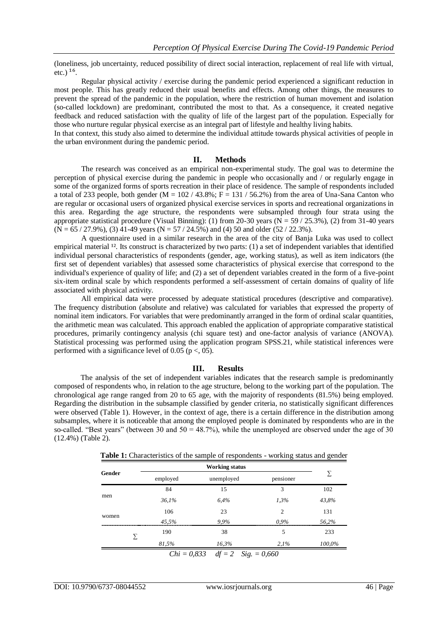(loneliness, job uncertainty, reduced possibility of direct social interaction, replacement of real life with virtual, etc.)  $16$ .

Regular physical activity / exercise during the pandemic period experienced a significant reduction in most people. This has greatly reduced their usual benefits and effects. Among other things, the measures to prevent the spread of the pandemic in the population, where the restriction of human movement and isolation (so-called lockdown) are predominant, contributed the most to that. As a consequence, it created negative feedback and reduced satisfaction with the quality of life of the largest part of the population. Especially for those who nurture regular physical exercise as an integral part of lifestyle and healthy living habits.

In that context, this study also aimed to determine the individual attitude towards physical activities of people in the urban environment during the pandemic period.

#### **II. Methods**

The research was conceived as an empirical non-experimental study. The goal was to determine the perception of physical exercise during the pandemic in people who occasionally and / or regularly engage in some of the organized forms of sports recreation in their place of residence. The sample of respondents included a total of 233 people, both gender (M =  $102/43.8\%$ ; F = 131 / 56.2%) from the area of Una-Sana Canton who are regular or occasional users of organized physical exercise services in sports and recreational organizations in this area. Regarding the age structure, the respondents were subsampled through four strata using the appropriate statistical procedure (Visual Binning): (1) from 20-30 years ( $N = 59 / 25.3\%$ ), (2) from 31-40 years  $(N = 65 / 27.9\%)$ , (3) 41-49 years  $(N = 57 / 24.5\%)$  and (4) 50 and older (52/22.3%).

A questionnaire used in a similar research in the area of the city of Banja Luka was used to collect empirical material  $^{12}$ . Its construct is characterized by two parts: (1) a set of independent variables that identified individual personal characteristics of respondents (gender, age, working status), as well as item indicators (the first set of dependent variables) that assessed some characteristics of physical exercise that correspond to the individual's experience of quality of life; and (2) a set of dependent variables created in the form of a five-point six-item ordinal scale by which respondents performed a self-assessment of certain domains of quality of life associated with physical activity.

All empirical data were processed by adequate statistical procedures (descriptive and comparative). The frequency distribution (absolute and relative) was calculated for variables that expressed the property of nominal item indicators. For variables that were predominantly arranged in the form of ordinal scalar quantities, the arithmetic mean was calculated. This approach enabled the application of appropriate comparative statistical procedures, primarily contingency analysis (chi square test) and one-factor analysis of variance (ANOVA). Statistical processing was performed using the application program SPSS.21, while statistical inferences were performed with a significance level of 0.05 ( $p <$ , 05).

### **III. Results**

The analysis of the set of independent variables indicates that the research sample is predominantly composed of respondents who, in relation to the age structure, belong to the working part of the population. The chronological age range ranged from 20 to 65 age, with the majority of respondents (81.5%) being employed. Regarding the distribution in the subsample classified by gender criteria, no statistically significant differences were observed (Table 1). However, in the context of age, there is a certain difference in the distribution among subsamples, where it is noticeable that among the employed people is dominated by respondents who are in the so-called. "Best years" (between 30 and  $50 = 48.7\%$ ), while the unemployed are observed under the age of 30 (12.4%) (Table 2).

|        |                 | <b>Working status</b>  |                                                                            |        |  |
|--------|-----------------|------------------------|----------------------------------------------------------------------------|--------|--|
| Gender | employed        | unemployed             |                                                                            |        |  |
|        | 84              | 15                     | 3                                                                          | 102    |  |
| men    | 36.1%           | 6,4%                   | 1,3%                                                                       | 43,8%  |  |
|        | 106             | 23                     | $\overline{2}$                                                             | 131    |  |
| women  | 45.5%           | 9,9%                   | $0.9\%$                                                                    | 56,2%  |  |
| Σ      | 190             | 38                     | 5                                                                          | 233    |  |
|        | 81,5%           | 16,3%                  | 2.1%                                                                       | 100,0% |  |
|        | $Cl_2: = 0.922$ | $\mathcal{H} = \Omega$ | $\mathcal{C}^*_{\alpha} = \mathcal{C} \mathcal{L} \mathcal{L} \mathcal{L}$ |        |  |

**Table 1:** Characteristics of the sample of respondents - working status and gender

*Chi = 0,833 df = 2 Sig. = 0,660*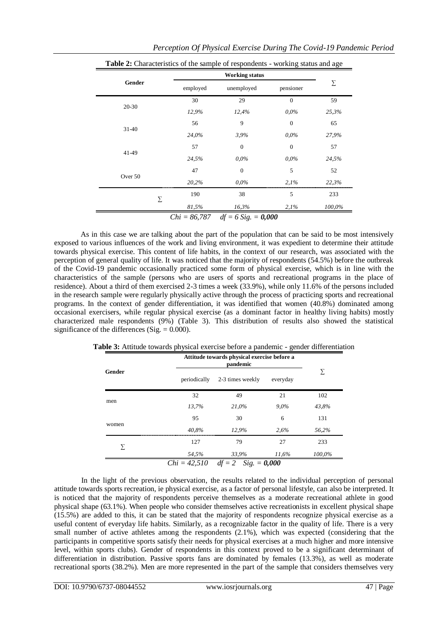| Table 2: Characteristics of the sample of respondents - working status and age |                |                       |              |        |  |  |  |
|--------------------------------------------------------------------------------|----------------|-----------------------|--------------|--------|--|--|--|
|                                                                                |                |                       |              |        |  |  |  |
| Gender                                                                         | employed       | unemployed            | pensioner    | Σ      |  |  |  |
|                                                                                | 30             | 29                    | $\Omega$     | 59     |  |  |  |
| 20-30                                                                          | 12,9%          | 12,4%                 | $0.0\%$      | 25,3%  |  |  |  |
|                                                                                | 56             | 9                     | $\mathbf{0}$ | 65     |  |  |  |
| $31-40$                                                                        | 24,0%          | 3,9%                  | $0.0\%$      | 27,9%  |  |  |  |
|                                                                                | 57             | $\overline{0}$        | $\mathbf{0}$ | 57     |  |  |  |
| 41-49                                                                          | 24,5%          | $0.0\%$               | $0.0\%$      | 24,5%  |  |  |  |
|                                                                                | 47             | $\theta$              | 5            | 52     |  |  |  |
| Over 50                                                                        | 20,2%          | $0.0\%$               | 2,1%         | 22,3%  |  |  |  |
| Σ                                                                              | 190            | 38                    | 5            | 233    |  |  |  |
|                                                                                | 81,5%          | 16,3%                 | 2,1%         | 100,0% |  |  |  |
|                                                                                | $Chi = 86,787$ | $df = 6$ Sig. = 0,000 |              |        |  |  |  |

As in this case we are talking about the part of the population that can be said to be most intensively exposed to various influences of the work and living environment, it was expedient to determine their attitude towards physical exercise. This content of life habits, in the context of our research, was associated with the perception of general quality of life. It was noticed that the majority of respondents (54.5%) before the outbreak of the Covid-19 pandemic occasionally practiced some form of physical exercise, which is in line with the characteristics of the sample (persons who are users of sports and recreational programs in the place of residence). About a third of them exercised 2-3 times a week (33.9%), while only 11.6% of the persons included in the research sample were regularly physically active through the process of practicing sports and recreational programs. In the context of gender differentiation, it was identified that women (40.8%) dominated among occasional exercisers, while regular physical exercise (as a dominant factor in healthy living habits) mostly characterized male respondents (9%) (Table 3). This distribution of results also showed the statistical significance of the differences (Sig.  $= 0.000$ ).

|        |              | Attitude towards physical exercise before a<br>pandemic |          |        |  |
|--------|--------------|---------------------------------------------------------|----------|--------|--|
| Gender | periodically | 2-3 times weekly                                        | everyday | Σ      |  |
|        | 32           | 49                                                      | 21       | 102    |  |
| men    | 13,7%        | 21,0%                                                   | $9.0\%$  | 43,8%  |  |
|        | 95           | 30                                                      | 6        | 131    |  |
| women  | 40.8%        | 12,9%                                                   | 2.6%     | 56,2%  |  |
|        | 127          | 79                                                      | 27       | 233    |  |
| Σ      | 54,5%        | 33,9%                                                   | 11,6%    | 100,0% |  |
|        |              | $Chi = 42,510$ $df = 2$ $Sig. = 0,000$                  |          |        |  |

**Table 3:** Attitude towards physical exercise before a pandemic - gender differentiation

In the light of the previous observation, the results related to the individual perception of personal attitude towards sports recreation, ie physical exercise, as a factor of personal lifestyle, can also be interpreted. It is noticed that the majority of respondents perceive themselves as a moderate recreational athlete in good physical shape (63.1%). When people who consider themselves active recreationists in excellent physical shape  $(15.5%)$  are added to this, it can be stated that the majority of respondents recognize physical exercise as a useful content of everyday life habits. Similarly, as a recognizable factor in the quality of life. There is a very small number of active athletes among the respondents (2.1%), which was expected (considering that the participants in competitive sports satisfy their needs for physical exercises at a much higher and more intensive level, within sports clubs). Gender of respondents in this context proved to be a significant determinant of differentiation in distribution. Passive sports fans are dominated by females (13.3%), as well as moderate recreational sports (38.2%). Men are more represented in the part of the sample that considers themselves very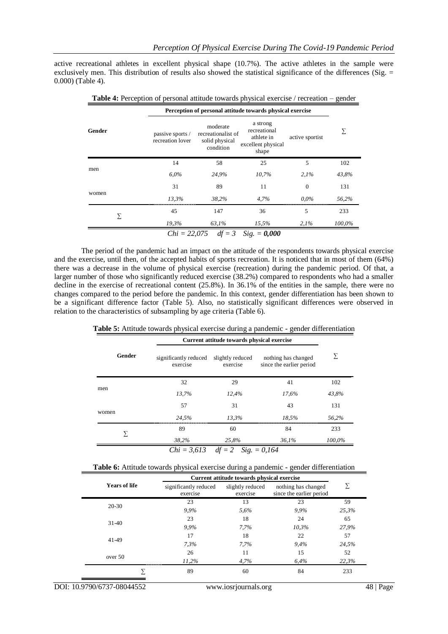active recreational athletes in excellent physical shape (10.7%). The active athletes in the sample were exclusively men. This distribution of results also showed the statistical significance of the differences (Sig. = 0.000) (Table 4).

**Table 4:** Perception of personal attitude towards physical exercise / recreation – gender

|        |                                      | Perception of personal attitude towards physical exercise     |                                                                       |                 |        |
|--------|--------------------------------------|---------------------------------------------------------------|-----------------------------------------------------------------------|-----------------|--------|
| Gender | passive sports /<br>recreation lover | moderate<br>recreationalist of<br>solid physical<br>condition | a strong<br>recreational<br>athlete in<br>excellent physical<br>shape | active sportist | Σ      |
| men    | 14                                   | 58                                                            | 25                                                                    | 5               | 102    |
|        | $6.0\%$                              | 24,9%                                                         | 10,7%                                                                 | 2.1%            | 43,8%  |
|        | 31                                   | 89                                                            | 11                                                                    | $\theta$        | 131    |
| women  | 13.3%                                | 38,2%                                                         | 4,7%                                                                  | $0.0\%$         | 56,2%  |
|        | 45                                   | 147                                                           | 36                                                                    | 5               | 233    |
| Σ      | 19,3%                                | 63,1%                                                         | 15,5%                                                                 | 2.1%            | 100,0% |
|        |                                      | <i>Chi</i> = 22,075 <i>df</i> = 3 <i>Sig.</i> = <b>0,000</b>  |                                                                       |                 |        |

The period of the pandemic had an impact on the attitude of the respondents towards physical exercise and the exercise, until then, of the accepted habits of sports recreation. It is noticed that in most of them (64%) there was a decrease in the volume of physical exercise (recreation) during the pandemic period. Of that, a larger number of those who significantly reduced exercise (38.2%) compared to respondents who had a smaller decline in the exercise of recreational content (25.8%). In 36.1% of the entities in the sample, there were no changes compared to the period before the pandemic. In this context, gender differentiation has been shown to be a significant difference factor (Table 5). Also, no statistically significant differences were observed in relation to the characteristics of subsampling by age criteria (Table 6).

**Table 5:** Attitude towards physical exercise during a pandemic - gender differentiation

| Current attitude towards physical exercise |       |                                                 |        |  |
|--------------------------------------------|-------|-------------------------------------------------|--------|--|
| significantly reduced<br>exercise          |       | nothing has changed<br>since the earlier period | Σ      |  |
| 32                                         | 29    | 41                                              | 102    |  |
| 13.7%                                      | 12,4% | 17,6%                                           | 43,8%  |  |
| 57                                         | 31    | 43                                              | 131    |  |
| 24,5%                                      | 13,3% | 18,5%                                           | 56,2%  |  |
| 89                                         | 60    | 84                                              | 233    |  |
| 38,2%                                      | 25,8% | 36.1%                                           | 100,0% |  |
|                                            |       | slightly reduced<br>exercise                    |        |  |

*Chi = 3,613 df = 2 Sig. = 0,164*

| <b>Table 6:</b> Attitude towards physical exercise during a pandemic - gender differentiation |  |  |
|-----------------------------------------------------------------------------------------------|--|--|
|                                                                                               |  |  |

|                      |                                   | Current attitude towards physical exercise |                                                 |       |  |
|----------------------|-----------------------------------|--------------------------------------------|-------------------------------------------------|-------|--|
| <b>Years of life</b> | significantly reduced<br>exercise | slightly reduced<br>exercise               | nothing has changed<br>since the earlier period | Σ     |  |
|                      | 23                                | 13                                         | 23                                              | 59    |  |
| $20 - 30$            | 9,9%                              | 5,6%                                       | 9,9%                                            | 25,3% |  |
|                      | 23                                | 18                                         | 24                                              | 65    |  |
| $31-40$              | 9.9%                              | 7,7%                                       | 10,3%                                           | 27,9% |  |
|                      | 17                                | 18                                         | 22                                              | 57    |  |
| 41-49                | 7.3%                              | 7.7%                                       | 9,4%                                            | 24,5% |  |
|                      | 26                                | 11                                         | 15                                              | 52    |  |
| over 50              | 11,2%                             | 4,7%                                       | 6,4%                                            | 22,3% |  |
|                      | 89                                | 60                                         | 84                                              | 233   |  |
|                      |                                   |                                            |                                                 |       |  |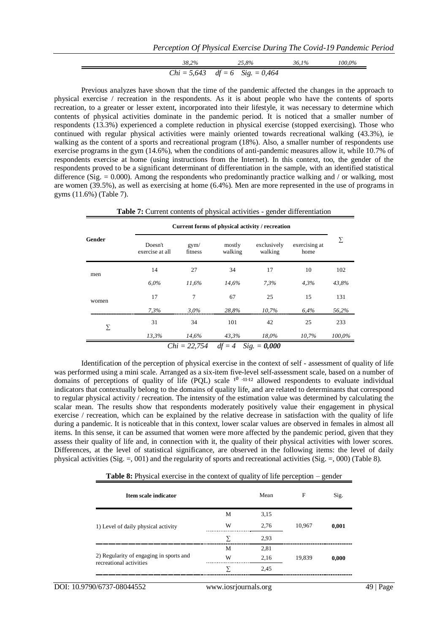$$
\frac{38,2\%}{Chi = 5,643 \text{ df} = 6 \text{ Sig.} = 0,464} \frac{36,1\%}{100,0\%}
$$

Previous analyzes have shown that the time of the pandemic affected the changes in the approach to physical exercise / recreation in the respondents. As it is about people who have the contents of sports recreation, to a greater or lesser extent, incorporated into their lifestyle, it was necessary to determine which contents of physical activities dominate in the pandemic period. It is noticed that a smaller number of respondents (13.3%) experienced a complete reduction in physical exercise (stopped exercising). Those who continued with regular physical activities were mainly oriented towards recreational walking (43.3%), ie walking as the content of a sports and recreational program (18%). Also, a smaller number of respondents use exercise programs in the gym (14.6%), when the conditions of anti-pandemic measures allow it, while 10.7% of respondents exercise at home (using instructions from the Internet). In this context, too, the gender of the respondents proved to be a significant determinant of differentiation in the sample, with an identified statistical difference (Sig.  $= 0.000$ ). Among the respondents who predominantly practice walking and / or walking, most are women (39.5%), as well as exercising at home (6.4%). Men are more represented in the use of programs in gyms (11.6%) (Table 7).

|        |                            |                 |                   | Current forms of physical activity / recreation |                       |        |
|--------|----------------------------|-----------------|-------------------|-------------------------------------------------|-----------------------|--------|
| Gender | Doesn't<br>exercise at all | gym/<br>fitness | mostly<br>walking | exclusively<br>walking                          | exercising at<br>home | Σ      |
| men    | 14                         | 27              | 34                | 17                                              | 10                    | 102    |
|        | $6.0\%$                    | 11,6%           | 14,6%             | 7,3%                                            | 4,3%                  | 43,8%  |
| women  | 17                         | 7               | 67                | 25                                              | 15                    | 131    |
|        | 7,3%                       | $3.0\%$         | 28,8%             | 10,7%                                           | 6,4%                  | 56,2%  |
| Σ      | 31                         | 34              | 101               | 42                                              | 25                    | 233    |
|        | 13,3%                      | 14,6%           | 43,3%             | 18,0%                                           | 10,7%                 | 100,0% |

Identification of the perception of physical exercise in the context of self - assessment of quality of life was performed using a mini scale. Arranged as a six-item five-level self-assessment scale, based on a number of domains of perceptions of quality of life (PQL) scale  $1^0$   $11$   $12$  allowed respondents to evaluate individual indicators that contextually belong to the domains of quality life, and are related to determinants that correspond to regular physical activity / recreation. The intensity of the estimation value was determined by calculating the scalar mean. The results show that respondents moderately positively value their engagement in physical exercise / recreation, which can be explained by the relative decrease in satisfaction with the quality of life during a pandemic. It is noticeable that in this context, lower scalar values are observed in females in almost all items. In this sense, it can be assumed that women were more affected by the pandemic period, given that they assess their quality of life and, in connection with it, the quality of their physical activities with lower scores. Differences, at the level of statistical significance, are observed in the following items: the level of daily physical activities (Sig.  $=$ , 001) and the regularity of sports and recreational activities (Sig.  $=$ , 000) (Table 8).

| Item scale indicator                                               |   | Mean | F      | Sig.  |
|--------------------------------------------------------------------|---|------|--------|-------|
|                                                                    | М | 3,15 |        |       |
| 1) Level of daily physical activity                                | W | 2,76 | 10,967 | 0,001 |
|                                                                    | ᡪ | 2,93 |        |       |
|                                                                    | M | 2,81 |        |       |
| 2) Regularity of engaging in sports and<br>recreational activities | W | 2,16 | 19,839 | 0,000 |
|                                                                    | 7 | 2,45 |        |       |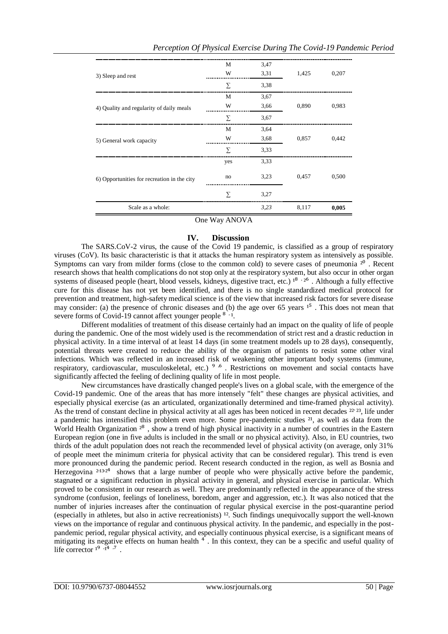|                                             | $O_{\text{max}}$ W <sub>oy</sub> , A MOVA |      |       |       |
|---------------------------------------------|-------------------------------------------|------|-------|-------|
| Scale as a whole:                           |                                           | 3,23 | 8,117 | 0,005 |
|                                             | $\Sigma$                                  | 3,27 |       |       |
| 6) Opportunities for recreation in the city | no                                        | 3,23 | 0,457 | 0,500 |
|                                             | yes                                       | 3,33 |       |       |
|                                             | Σ                                         | 3,33 |       |       |
| 5) General work capacity                    | W                                         | 3,68 | 0,857 | 0,442 |
|                                             | М                                         | 3,64 |       |       |
|                                             | Σ                                         | 3,67 |       |       |
| 4) Quality and regularity of daily meals    | W                                         | 3,66 | 0,890 | 0,983 |
|                                             | M                                         | 3,67 |       |       |
|                                             | Σ                                         | 3,38 |       |       |
| 3) Sleep and rest                           | W                                         | 3,31 | 1,425 | 0,207 |
|                                             | М                                         | 3,47 |       |       |

One Way ANOVA

## **IV. Discussion**

The SARS.CoV-2 virus, the cause of the Covid 19 pandemic, is classified as a group of respiratory viruses (CoV). Its basic characteristic is that it attacks the human respiratory system as intensively as possible. Symptoms can vary from milder forms (close to the common cold) to severe cases of pneumonia  $2<sup>0</sup>$ . Recent research shows that health complications do not stop only at the respiratory system, but also occur in other organ systems of diseased people (heart, blood vessels, kidneys, digestive tract, etc.)  $1^8 \tcdot 2^6$ . Although a fully effective cure for this disease has not yet been identified, and there is no single standardized medical protocol for prevention and treatment, high-safety medical science is of the view that increased risk factors for severe disease may consider: (a) the presence of chronic diseases and (b) the age over 65 years  $1<sup>5</sup>$ . This does not mean that severe forms of Covid-19 cannot affect younger people  $8 \cdot 1$ .

Different modalities of treatment of this disease certainly had an impact on the quality of life of people during the pandemic. One of the most widely used is the recommendation of strict rest and a drastic reduction in physical activity. In a time interval of at least 14 days (in some treatment models up to 28 days), consequently, potential threats were created to reduce the ability of the organism of patients to resist some other viral infections. Which was reflected in an increased risk of weakening other important body systems (immune, respiratory, cardiovascular, musculoskeletal, etc.) <sup>9</sup><sup>6</sup>. Restrictions on movement and social contacts have significantly affected the feeling of declining quality of life in most people.

New circumstances have drastically changed people's lives on a global scale, with the emergence of the Covid-19 pandemic. One of the areas that has more intensely "felt" these changes are physical activities, and especially physical exercise (as an articulated, organizationally determined and time-framed physical activity). As the trend of constant decline in physical activity at all ages has been noticed in recent decades <sup>22.23</sup>, life under a pandemic has intensified this problem even more. Some pre-pandemic studies  $2<sup>1</sup>$ , as well as data from the World Health Organization  $2^8$ , show a trend of high physical inactivity in a number of countries in the Eastern European region (one in five adults is included in the small or no physical activity). Also, in EU countries, two thirds of the adult population does not reach the recommended level of physical activity (on average, only 31% of people meet the minimum criteria for physical activity that can be considered regular). This trend is even more pronounced during the pandemic period. Recent research conducted in the region, as well as Bosnia and Herzegovina <sup>21324</sup> shows that a large number of people who were physically active before the pandemic, stagnated or a significant reduction in physical activity in general, and physical exercise in particular. Which proved to be consistent in our research as well. They are predominantly reflected in the appearance of the stress syndrome (confusion, feelings of loneliness, boredom, anger and aggression, etc.). It was also noticed that the number of injuries increases after the continuation of regular physical exercise in the post-quarantine period (especially in athletes, but also in active recreationists)  $12$ . Such findings unequivocally support the well-known views on the importance of regular and continuous physical activity. In the pandemic, and especially in the postpandemic period, regular physical activity, and especially continuous physical exercise, is a significant means of mitigating its negative effects on human health<sup>4</sup>. In this context, they can be a specific and useful quality of life corrector  $1^9 \cdot 1^4 \cdot 7$ .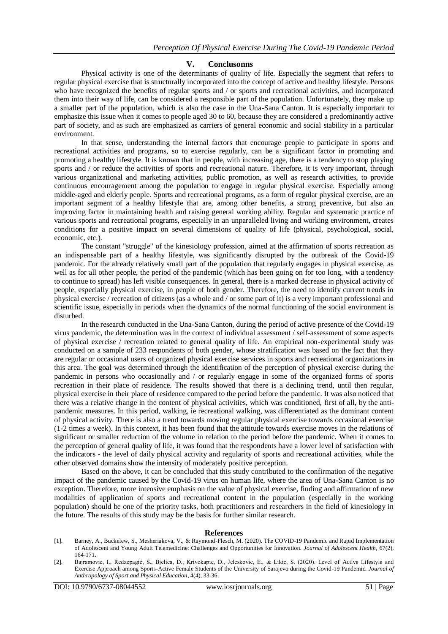### **V. Conclusonns**

Physical activity is one of the determinants of quality of life. Especially the segment that refers to regular physical exercise that is structurally incorporated into the concept of active and healthy lifestyle. Persons who have recognized the benefits of regular sports and / or sports and recreational activities, and incorporated them into their way of life, can be considered a responsible part of the population. Unfortunately, they make up a smaller part of the population, which is also the case in the Una-Sana Canton. It is especially important to emphasize this issue when it comes to people aged 30 to 60, because they are considered a predominantly active part of society, and as such are emphasized as carriers of general economic and social stability in a particular environment.

In that sense, understanding the internal factors that encourage people to participate in sports and recreational activities and programs, so to exercise regularly, can be a significant factor in promoting and promoting a healthy lifestyle. It is known that in people, with increasing age, there is a tendency to stop playing sports and / or reduce the activities of sports and recreational nature. Therefore, it is very important, through various organizational and marketing activities, public promotion, as well as research activities, to provide continuous encouragement among the population to engage in regular physical exercise. Especially among middle-aged and elderly people. Sports and recreational programs, as a form of regular physical exercise, are an important segment of a healthy lifestyle that are, among other benefits, a strong preventive, but also an improving factor in maintaining health and raising general working ability. Regular and systematic practice of various sports and recreational programs, especially in an unparalleled living and working environment, creates conditions for a positive impact on several dimensions of quality of life (physical, psychological, social, economic, etc.).

The constant "struggle" of the kinesiology profession, aimed at the affirmation of sports recreation as an indispensable part of a healthy lifestyle, was significantly disrupted by the outbreak of the Covid-19 pandemic. For the already relatively small part of the population that regularly engages in physical exercise, as well as for all other people, the period of the pandemic (which has been going on for too long, with a tendency to continue to spread) has left visible consequences. In general, there is a marked decrease in physical activity of people, especially physical exercise, in people of both gender. Therefore, the need to identify current trends in physical exercise / recreation of citizens (as a whole and / or some part of it) is a very important professional and scientific issue, especially in periods when the dynamics of the normal functioning of the social environment is disturbed.

In the research conducted in the Una-Sana Canton, during the period of active presence of the Covid-19 virus pandemic, the determination was in the context of individual assessment / self-assessment of some aspects of physical exercise / recreation related to general quality of life. An empirical non-experimental study was conducted on a sample of 233 respondents of both gender, whose stratification was based on the fact that they are regular or occasional users of organized physical exercise services in sports and recreational organizations in this area. The goal was determined through the identification of the perception of physical exercise during the pandemic in persons who occasionally and / or regularly engage in some of the organized forms of sports recreation in their place of residence. The results showed that there is a declining trend, until then regular, physical exercise in their place of residence compared to the period before the pandemic. It was also noticed that there was a relative change in the content of physical activities, which was conditioned, first of all, by the antipandemic measures. In this period, walking, ie recreational walking, was differentiated as the dominant content of physical activity. There is also a trend towards moving regular physical exercise towards occasional exercise (1-2 times a week). In this context, it has been found that the attitude towards exercise moves in the relations of significant or smaller reduction of the volume in relation to the period before the pandemic. When it comes to the perception of general quality of life, it was found that the respondents have a lower level of satisfaction with the indicators - the level of daily physical activity and regularity of sports and recreational activities, while the other observed domains show the intensity of moderately positive perception.

Based on the above, it can be concluded that this study contributed to the confirmation of the negative impact of the pandemic caused by the Covid-19 virus on human life, where the area of Una-Sana Canton is no exception. Therefore, more intensive emphasis on the value of physical exercise, finding and affirmation of new modalities of application of sports and recreational content in the population (especially in the working population) should be one of the priority tasks, both practitioners and researchers in the field of kinesiology in the future. The results of this study may be the basis for further similar research.

#### **References**

- [1]. Barney, A., Buckelew, S., Mesheriakova, V., & Raymond-Flesch, M. (2020). The COVID-19 Pandemic and Rapid Implementation of Adolescent and Young Adult Telemedicine: Challenges and Opportunities for Innovation. *Journal of Adolescent Health*, 67(2), 164-171.
- [2]. Bajramovic, I., Redzepagić, S., Bjelica, D., Krivokapic, D., Jeleskovic, E., & Likic, S. (2020). Level of Active Lifestyle and Exercise Approach among Sports-Active Female Students of the University of Sarajevo during the Covid-19 Pandemic. *Journal of Anthropology of Sport and Physical Education*, 4(4), 33-36.